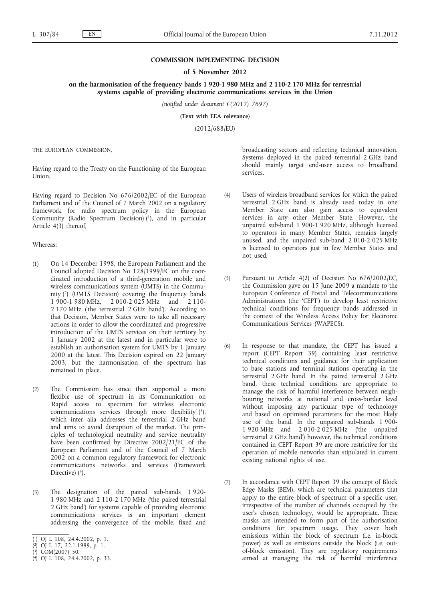## **COMMISSION IMPLEMENTING DECISION**

### **of 5 November 2012**

**on the harmonisation of the frequency bands 1 920-1 980 MHz and 2 110-2 170 MHz for terrestrial systems capable of providing electronic communications services in the Union**

*(notified under document C(2012) 7697)*

**(Text with EEA relevance)**

(2012/688/EU)

THE EUROPEAN COMMISSION,

Having regard to the Treaty on the Functioning of the European Union,

Having regard to Decision No 676/2002/EC of the European Parliament and of the Council of 7 March 2002 on a regulatory framework for radio spectrum policy in the European Community (Radio Spectrum Decision) (1), and in particular Article 4(3) thereof,

Whereas:

- (1) On 14 December 1998, the European Parliament and the Council adopted Decision No 128/1999/EC on the coordinated introduction of a third-generation mobile and wireless communications system (UMTS) in the Community (2) (UMTS Decision) covering the frequency bands 1 900-1 980 MHz, 2 010-2 025 MHz and 2 110- 2 170 MHz ('the terrestrial 2 GHz band'). According to that Decision, Member States were to take all necessary actions in order to allow the coordinated and progressive introduction of the UMTS services on their territory by 1 January 2002 at the latest and in particular were to establish an authorisation system for UMTS by 1 January 2000 at the latest. This Decision expired on 22 January 2003, but the harmonisation of the spectrum has remained in place.
- (2) The Commission has since then supported a more flexible use of spectrum in its Communication on 'Rapid access to spectrum for wireless electronic communications services through more flexibility'  $(3)$ , which inter alia addresses the terrestrial 2 GHz band and aims to avoid disruption of the market. The principles of technological neutrality and service neutrality have been confirmed by Directive 2002/21/EC of the European Parliament and of the Council of 7 March 2002 on a common regulatory framework for electronic communications networks and services (Framework Directive) (4).
- (3) The designation of the paired sub-bands 1 920- 1 980 MHz and 2 110-2 170 MHz ('the paired terrestrial 2 GHz band') for systems capable of providing electronic communications services is an important element addressing the convergence of the mobile, fixed and

broadcasting sectors and reflecting technical innovation. Systems deployed in the paired terrestrial 2 GHz band should mainly target end-user access to broadband services.

- (4) Users of wireless broadband services for which the paired terrestrial 2 GHz band is already used today in one Member State can also gain access to equivalent services in any other Member State. However, the unpaired sub-band 1 900-1 920 MHz, although licensed to operators in many Member States, remains largely unused, and the unpaired sub-band 2 010-2 025 MHz is licensed to operators just in few Member States and not used.
- (5) Pursuant to Article 4(2) of Decision No 676/2002/EC, the Commission gave on 15 June 2009 a mandate to the European Conference of Postal and Telecommunications Administrations (the 'CEPT') to develop least restrictive technical conditions for frequency bands addressed in the context of the Wireless Access Policy for Electronic Communications Services (WAPECS).
- (6) In response to that mandate, the CEPT has issued a report (CEPT Report 39) containing least restrictive technical conditions and guidance for their application to base stations and terminal stations operating in the terrestrial 2 GHz band. In the paired terrestrial 2 GHz band, these technical conditions are appropriate to manage the risk of harmful interference between neighbouring networks at national and cross-border level without imposing any particular type of technology and based on optimised parameters for the most likely use of the band. In the unpaired sub-bands 1 900- 1 920 MHz and 2 010-2 025 MHz ('the unpaired terrestrial 2 GHz band') however, the technical conditions contained in CEPT Report 39 are more restrictive for the operation of mobile networks than stipulated in current existing national rights of use.
- (7) In accordance with CEPT Report 39 the concept of Block Edge Masks (BEM), which are technical parameters that apply to the entire block of spectrum of a specific user, irrespective of the number of channels occupied by the user's chosen technology, would be appropriate. These masks are intended to form part of the authorisation conditions for spectrum usage. They cover both emissions within the block of spectrum (i.e. in-block power) as well as emissions outside the block (i.e. outof-block emission). They are regulatory requirements aimed at managing the risk of harmful interference

<sup>(</sup> 1) OJ L 108, 24.4.2002, p. 1.

<sup>(</sup> 2) OJ L 17, 22.1.1999, p. 1.

<sup>(</sup> 3) COM(2007) 50.

<sup>(</sup> 4) OJ L 108, 24.4.2002, p. 33.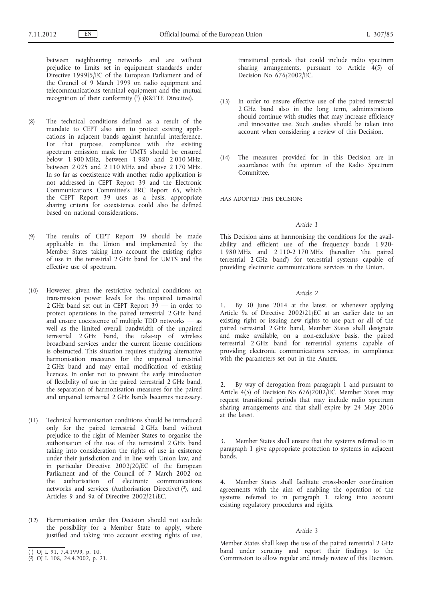between neighbouring networks and are without prejudice to limits set in equipment standards under Directive 1999/5/EC of the European Parliament and of the Council of 9 March 1999 on radio equipment and telecommunications terminal equipment and the mutual recognition of their conformity  $(1)$  (R&TTE Directive).

- (8) The technical conditions defined as a result of the mandate to CEPT also aim to protect existing applications in adjacent bands against harmful interference. For that purpose, compliance with the existing spectrum emission mask for UMTS should be ensured below 1 900 MHz, between 1 980 and 2 010 MHz, between 2 025 and 2 110 MHz and above 2 170 MHz. In so far as coexistence with another radio application is not addressed in CEPT Report 39 and the Electronic Communications Committee's ERC Report 65, which the CEPT Report 39 uses as a basis, appropriate sharing criteria for coexistence could also be defined based on national considerations.
- (9) The results of CEPT Report 39 should be made applicable in the Union and implemented by the Member States taking into account the existing rights of use in the terrestrial 2 GHz band for UMTS and the effective use of spectrum.
- (10) However, given the restrictive technical conditions on transmission power levels for the unpaired terrestrial 2 GHz band set out in CEPT Report 39 — in order to protect operations in the paired terrestrial 2 GHz band and ensure coexistence of multiple TDD networks — as well as the limited overall bandwidth of the unpaired terrestrial 2 GHz band, the take-up of wireless broadband services under the current license conditions is obstructed. This situation requires studying alternative harmonisation measures for the unpaired terrestrial 2 GHz band and may entail modification of existing licences. In order not to prevent the early introduction of flexibility of use in the paired terrestrial 2 GHz band, the separation of harmonisation measures for the paired and unpaired terrestrial 2 GHz bands becomes necessary.
- (11) Technical harmonisation conditions should be introduced only for the paired terrestrial 2 GHz band without prejudice to the right of Member States to organise the authorisation of the use of the terrestrial 2 GHz band taking into consideration the rights of use in existence under their jurisdiction and in line with Union law, and in particular Directive 2002/20/EC of the European Parliament and of the Council of 7 March 2002 on the authorisation of electronic communications networks and services (Authorisation Directive) (2), and Articles 9 and 9a of Directive 2002/21/EC.
- (12) Harmonisation under this Decision should not exclude the possibility for a Member State to apply, where justified and taking into account existing rights of use,

transitional periods that could include radio spectrum sharing arrangements, pursuant to Article 4(5) of Decision No 676/2002/EC.

- (13) In order to ensure effective use of the paired terrestrial 2 GHz band also in the long term, administrations should continue with studies that may increase efficiency and innovative use. Such studies should be taken into account when considering a review of this Decision.
- (14) The measures provided for in this Decision are in accordance with the opinion of the Radio Spectrum Committee,

HAS ADOPTED THIS DECISION:

#### *Article 1*

This Decision aims at harmonising the conditions for the availability and efficient use of the frequency bands 1 920- 1 980 MHz and 2 110-2 170 MHz (hereafter 'the paired terrestrial 2 GHz band') for terrestrial systems capable of providing electronic communications services in the Union.

## *Article 2*

1. By 30 June 2014 at the latest, or whenever applying Article 9a of Directive 2002/21/EC at an earlier date to an existing right or issuing new rights to use part or all of the paired terrestrial 2 GHz band, Member States shall designate and make available, on a non-exclusive basis, the paired terrestrial 2 GHz band for terrestrial systems capable of providing electronic communications services, in compliance with the parameters set out in the Annex.

2. By way of derogation from paragraph 1 and pursuant to Article 4(5) of Decision No 676/2002/EC, Member States may request transitional periods that may include radio spectrum sharing arrangements and that shall expire by 24 May 2016 at the latest.

3. Member States shall ensure that the systems referred to in paragraph 1 give appropriate protection to systems in adjacent bands.

4. Member States shall facilitate cross-border coordination agreements with the aim of enabling the operation of the systems referred to in paragraph  $1$ , taking into account existing regulatory procedures and rights.

## *Article 3*

Member States shall keep the use of the paired terrestrial 2 GHz band under scrutiny and report their findings to the Commission to allow regular and timely review of this Decision.

<sup>(</sup> 1) OJ L 91, 7.4.1999, p. 10.

<sup>(</sup> 2) OJ L 108, 24.4.2002, p. 21.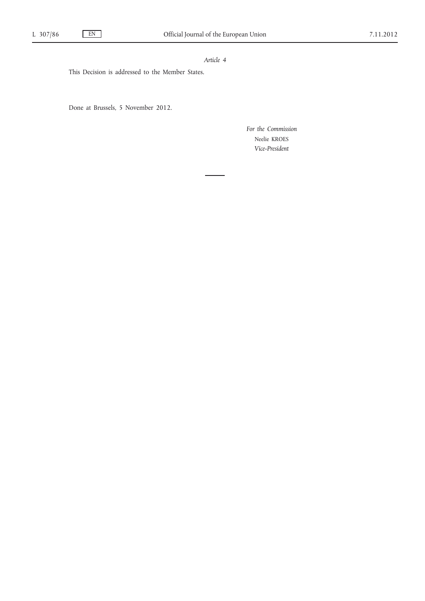# *Article 4*

This Decision is addressed to the Member States.

Done at Brussels, 5 November 2012.

*For the Commission* Neelie KROES *Vice-President*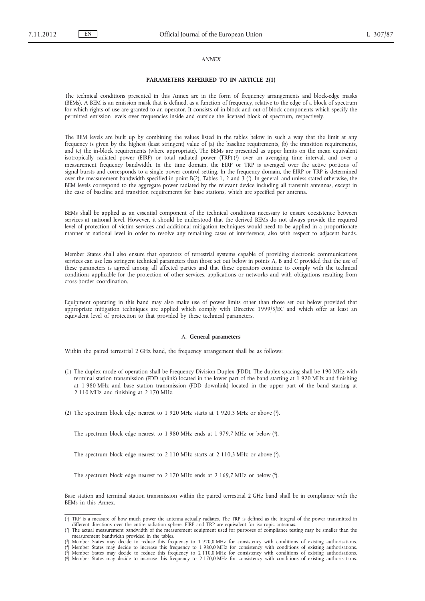## *ANNEX*

#### **PARAMETERS REFERRED TO IN ARTICLE 2(1)**

The technical conditions presented in this Annex are in the form of frequency arrangements and block-edge masks (BEMs). A BEM is an emission mask that is defined, as a function of frequency, relative to the edge of a block of spectrum for which rights of use are granted to an operator. It consists of in-block and out-of-block components which specify the permitted emission levels over frequencies inside and outside the licensed block of spectrum, respectively.

The BEM levels are built up by combining the values listed in the tables below in such a way that the limit at any frequency is given by the highest (least stringent) value of (a) the baseline requirements, (b) the transition requirements, and (c) the in-block requirements (where appropriate). The BEMs are presented as upper limits on the mean equivalent isotropically radiated power (EIRP) or total radiated power (TRP) (1) over an averaging time interval, and over a measurement frequency bandwidth. In the time domain, the EIRP or TRP is averaged over the active portions of signal bursts and corresponds to a single power control setting. In the frequency domain, the EIRP or TRP is determined over the measurement bandwidth specified in point B(2), Tables 1, 2 and  $3$  (2). In general, and unless stated otherwise, the BEM levels correspond to the aggregate power radiated by the relevant device including all transmit antennas, except in the case of baseline and transition requirements for base stations, which are specified per antenna.

BEMs shall be applied as an essential component of the technical conditions necessary to ensure coexistence between services at national level. However, it should be understood that the derived BEMs do not always provide the required level of protection of victim services and additional mitigation techniques would need to be applied in a proportionate manner at national level in order to resolve any remaining cases of interference, also with respect to adjacent bands.

Member States shall also ensure that operators of terrestrial systems capable of providing electronic communications services can use less stringent technical parameters than those set out below in points A, B and C provided that the use of these parameters is agreed among all affected parties and that these operators continue to comply with the technical conditions applicable for the protection of other services, applications or networks and with obligations resulting from cross-border coordination.

Equipment operating in this band may also make use of power limits other than those set out below provided that appropriate mitigation techniques are applied which comply with Directive 1999/5/EC and which offer at least an equivalent level of protection to that provided by these technical parameters.

#### A. **General parameters**

Within the paired terrestrial 2 GHz band, the frequency arrangement shall be as follows:

- (1) The duplex mode of operation shall be Frequency Division Duplex (FDD). The duplex spacing shall be 190 MHz with terminal station transmission (FDD uplink) located in the lower part of the band starting at 1 920 MHz and finishing at 1 980 MHz and base station transmission (FDD downlink) located in the upper part of the band starting at 2 110 MHz and finishing at 2 170 MHz.
- (2) The spectrum block edge nearest to 1 920 MHz starts at 1 920,3 MHz or above (3).

The spectrum block edge nearest to 1 980 MHz ends at 1 979,7 MHz or below (4).

The spectrum block edge nearest to 2 110 MHz starts at 2 110,3 MHz or above (5).

The spectrum block edge nearest to 2 170 MHz ends at 2 169,7 MHz or below (6).

Base station and terminal station transmission within the paired terrestrial 2 GHz band shall be in compliance with the BEMs in this Annex.

<sup>(</sup> 1) TRP is a measure of how much power the antenna actually radiates. The TRP is defined as the integral of the power transmitted in different directions over the entire radiation sphere. EIRP and TRP are equivalent for isotropic antennas.

<sup>(</sup> 2) The actual measurement bandwidth of the measurement equipment used for purposes of compliance testing may be smaller than the

measurement bandwidth provided in the tables.<br>(3) Member States may decide to reduce this frequency to 1 920,0 MHz for consistency with conditions of existing authorisations.<br>(4) Member States may decide to increase this f

<sup>(5)</sup> Member States may decide to reduce this frequency to 2 110,0 MHz for consistency with conditions of existing authorisations.<br>(6) Member States may decide to increase this frequency to 2 170,0 MHz for consistency with c